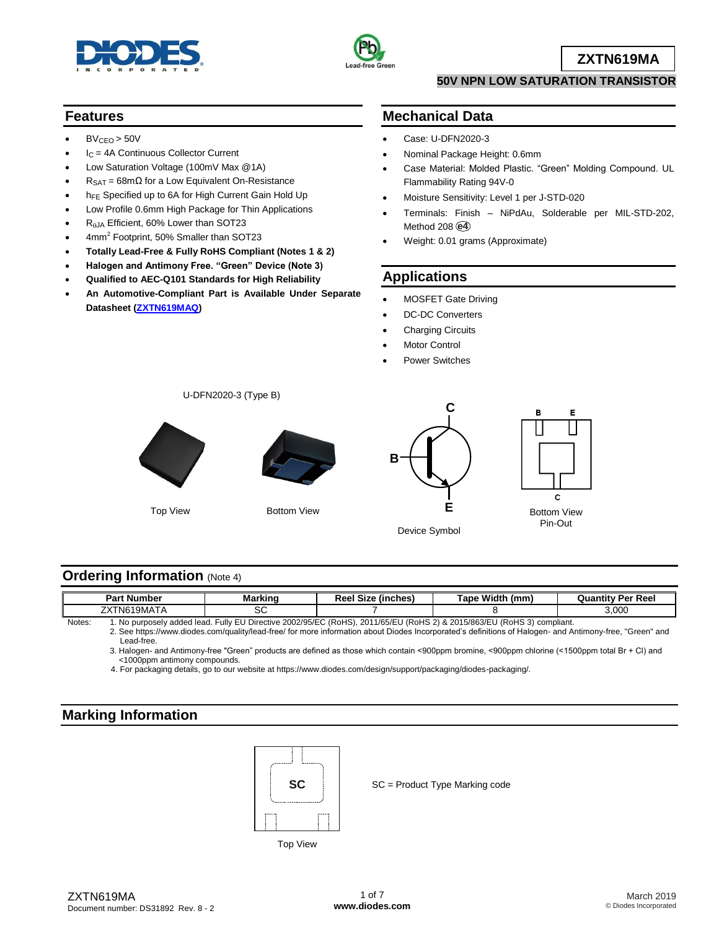



### **ZXTN619MA**

#### **50V NPN LOW SATURATION TRANSISTOR**

#### **Features**

- $BV_{CFO} > 50V$
- I<sub>C</sub> = 4A Continuous Collector Current
- Low Saturation Voltage (100mV Max @1A)
- $R_{\text{SAT}} = 68 \text{m}\Omega$  for a Low Equivalent On-Resistance
- h<sub>FE</sub> Specified up to 6A for High Current Gain Hold Up
- Low Profile 0.6mm High Package for Thin Applications
- $R<sub>0JA</sub>$  Efficient, 60% Lower than SOT23
- 4mm<sup>2</sup> Footprint, 50% Smaller than SOT23
- **Totally Lead-Free & Fully RoHS Compliant (Notes 1 & 2)**
- **Halogen and Antimony Free. "Green" Device (Note 3)**
- **Qualified to AEC-Q101 Standards for High Reliability**
- **An Automotive-Compliant Part is Available Under Separate Datasheet [\(ZXTN619MAQ\)](http://www.diodes.com/_files/datasheets/ZXTN619MAQ.pdf)**

U-DFN2020-3 (Type B)

# **Mechanical Data**

- Case: U-DFN2020-3
- Nominal Package Height: 0.6mm
- Case Material: Molded Plastic. "Green" Molding Compound. UL Flammability Rating 94V-0
- Moisture Sensitivity: Level 1 per J-STD-020
- Terminals: Finish NiPdAu, Solderable per MIL-STD-202, Method 208 **e4**
- Weight: 0.01 grams (Approximate)

### **Applications**

- MOSFET Gate Driving
- DC-DC Converters
- Charging Circuits
- Motor Control
- Power Switches



Top View



Bottom View





Device Symbol

# **Ordering Information (Note 4)**

| Dort.<br>. Number<br>-   | ™kinu<br>ma | (inches<br>וס<br>$\sim$ | Width<br><b>Tape</b><br>l ma ma<br>,,,,,,, | Reel<br>Per<br>Quantity |
|--------------------------|-------------|-------------------------|--------------------------------------------|-------------------------|
| $J19MA$ T<br>TN6<br>ית ר | `<br>ັ      |                         |                                            | 3.000                   |

Notes: 1. No purposely added lead. Fully EU Directive 2002/95/EC (RoHS), 2011/65/EU (RoHS 2) & 2015/863/EU (RoHS 3) compliant.

2. See [https://www.diodes.com/quality/lead-free/ fo](https://www.diodes.com/quality/lead-free/)r more information about Diodes Incorporated's definitions of Halogen- and Antimony-free, "Green" and Lead-free.

3. Halogen- and Antimony-free "Green" products are defined as those which contain <900ppm bromine, <900ppm chlorine (<1500ppm total Br + Cl) and <1000ppm antimony compounds.

4. For packaging details, go to our website at [https://www.diodes.com/design/support/packaging/diodes-packaging/.](https://www.diodes.com/design/support/packaging/diodes-packaging/) 

### **Marking Information**



SC = Product Type Marking code

Top View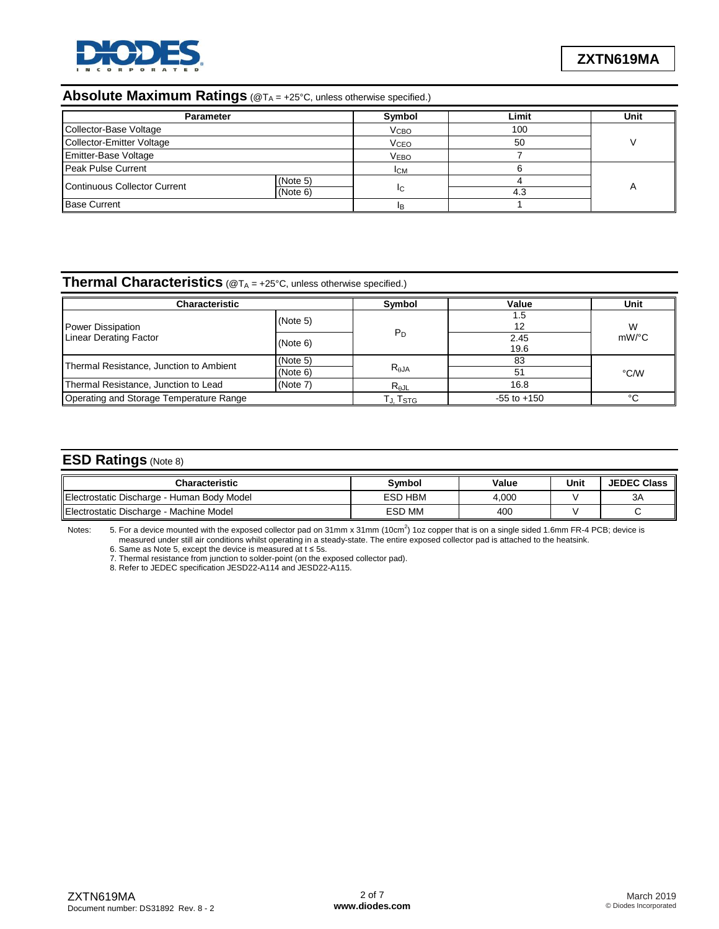

## **Absolute Maximum Ratings** (@T<sub>A</sub> = +25°C, unless otherwise specified.)

| <b>Parameter</b>             |          | Symbol                  | Limit | Unit |  |
|------------------------------|----------|-------------------------|-------|------|--|
| Collector-Base Voltage       |          | <b>V</b> <sub>CВО</sub> | 100   |      |  |
| Collector-Emitter Voltage    |          | <b>V<sub>CEO</sub></b>  | 50    |      |  |
| Emitter-Base Voltage         |          | <b>VEBO</b>             |       |      |  |
| Peak Pulse Current           |          | <b>ICM</b>              |       |      |  |
| Continuous Collector Current | (Note 5) |                         |       |      |  |
|                              | (Note 6) | Ιc                      | 4.3   |      |  |
| <b>Base Current</b>          |          | IŖ                      |       |      |  |

# **Thermal Characteristics** (@T<sup>A</sup> = +25°C, unless otherwise specified.)

| <b>Characteristic</b>                   | <b>Symbol</b>        | Value           | Unit         |       |  |
|-----------------------------------------|----------------------|-----------------|--------------|-------|--|
| <b>Power Dissipation</b>                | (Note 5)             |                 | 1.5<br>12    |       |  |
| <b>Linear Derating Factor</b>           | (Note 6)             | $P_D$           | 2.45<br>19.6 | mW/°C |  |
| Thermal Resistance, Junction to Ambient | (Note 5)             | 83              |              |       |  |
|                                         | (Note 6)             | $R_{\theta}$ JA | 51           | °C∕W  |  |
| Thermal Resistance, Junction to Lead    | (Note 7)             | $R_{AJL}$       | 16.8         |       |  |
| Operating and Storage Temperature Range | TJ. T <sub>STG</sub> | $-55$ to $+150$ | ∘∩           |       |  |

### **ESD Ratings** (Note 8)

| Characteristic                             | Svmbol         | Value | Unit | <b>JEDEC Class</b> |
|--------------------------------------------|----------------|-------|------|--------------------|
| Electrostatic Discharge - Human Body Model | <b>ESD HBM</b> | 4.000 |      | 3A                 |
| Electrostatic Discharge - Machine Model    | ESD MM         | 400   |      |                    |

Notes: 5. For a device mounted with the exposed collector pad on 31mm x 31mm (10cm<sup>2</sup>) 1oz copper that is on a single sided 1.6mm FR-4 PCB; device is measured under still air conditions whilst operating in a steady-state. The entire exposed collector pad is attached to the heatsink.

6. Same as Note 5, except the device is measured at  $t \leq 5s$ .

7. Thermal resistance from junction to solder-point (on the exposed collector pad).

8. Refer to JEDEC specification JESD22-A114 and JESD22-A115.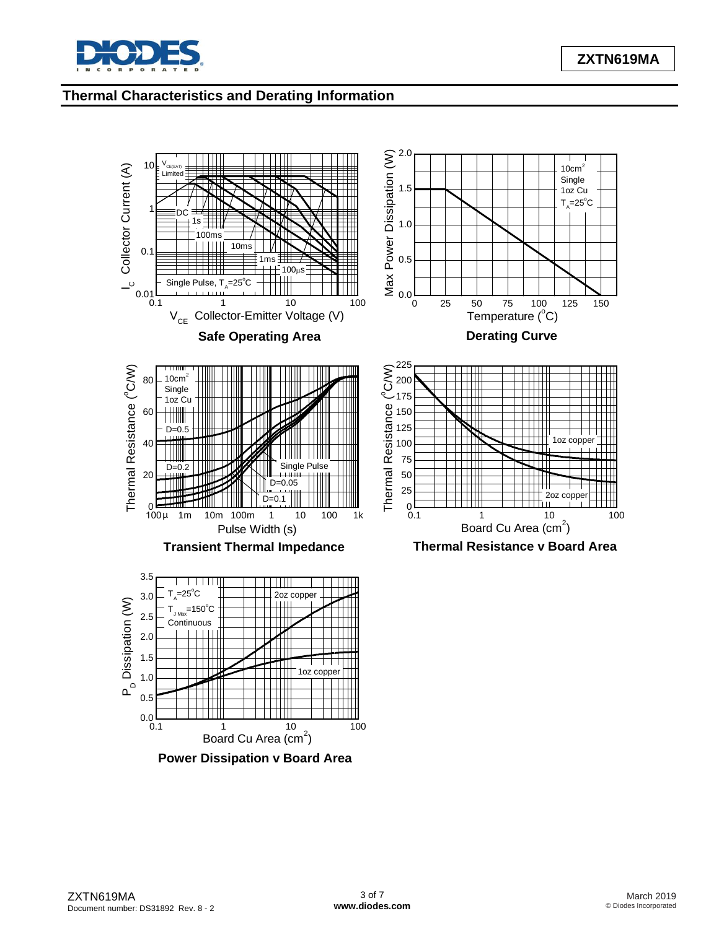

# **Thermal Characteristics and Derating Information**

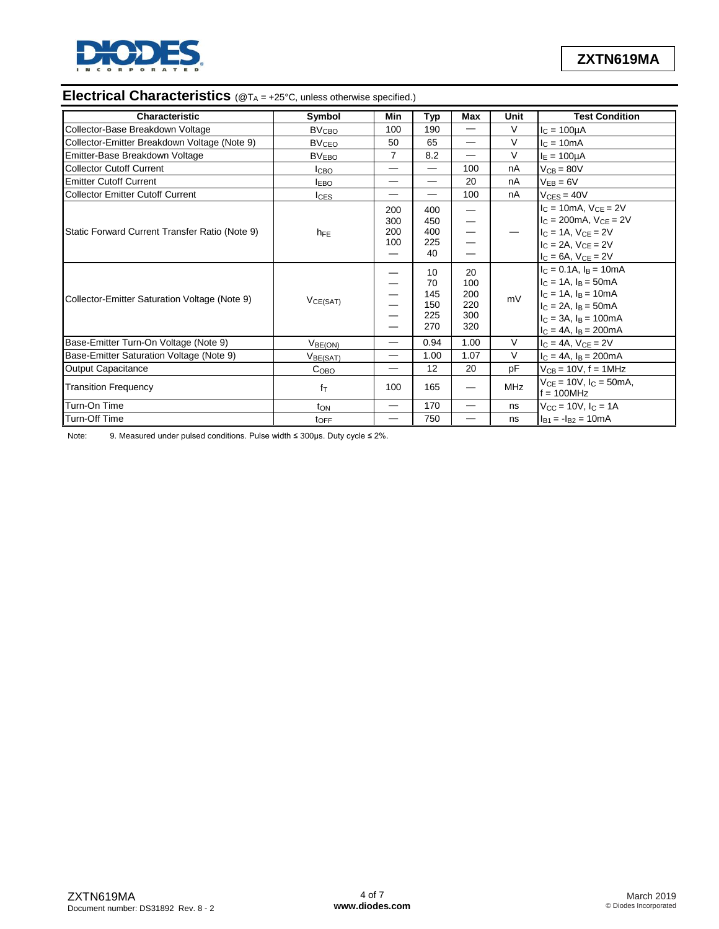

# **Electrical Characteristics** (@T<sub>A</sub> = +25°C, unless otherwise specified.)

| <b>Characteristic</b>                          | Symbol                  | Min                      | Typ                                  | Max                                   | Unit       | <b>Test Condition</b>                                                                                                                                                          |
|------------------------------------------------|-------------------------|--------------------------|--------------------------------------|---------------------------------------|------------|--------------------------------------------------------------------------------------------------------------------------------------------------------------------------------|
| Collector-Base Breakdown Voltage               | <b>BV<sub>CBO</sub></b> | 100                      | 190                                  |                                       | V          | $IC = 100µA$                                                                                                                                                                   |
| Collector-Emitter Breakdown Voltage (Note 9)   | <b>BV<sub>CEO</sub></b> | 50                       | 65                                   |                                       | $\vee$     | $lc = 10mA$                                                                                                                                                                    |
| Emitter-Base Breakdown Voltage                 | BV <sub>EBO</sub>       | $\overline{7}$           | 8.2                                  |                                       | V          | $I_E = 100 \mu A$                                                                                                                                                              |
| Collector Cutoff Current                       | Ісво                    | —                        |                                      | 100                                   | nA         | $VCB = 80V$                                                                                                                                                                    |
| <b>Emitter Cutoff Current</b>                  | <b>IEBO</b>             | —                        |                                      | 20                                    | nA         | $V_{EB} = 6V$                                                                                                                                                                  |
| Collector Emitter Cutoff Current               | $_{\text{lcss}}$        | —                        | $\overline{\phantom{0}}$             | 100                                   | nA         | $V_{CES} = 40V$                                                                                                                                                                |
| Static Forward Current Transfer Ratio (Note 9) | $h_{FE}$                | 200<br>300<br>200<br>100 | 400<br>450<br>400<br>225<br>40       |                                       |            | $I_C = 10mA$ , $V_{CE} = 2V$<br>$I_{C} = 200 \text{mA}$ , $V_{CE} = 2V$<br>$IC = 1A$ , $VCE = 2V$<br>$I_C = 2A$ , $V_{CE} = 2V$<br>$I_C = 6A$ , $V_{CE} = 2V$                  |
| Collector-Emitter Saturation Voltage (Note 9)  | VCE(SAT)                |                          | 10<br>70<br>145<br>150<br>225<br>270 | 20<br>100<br>200<br>220<br>300<br>320 | mV         | $I_C = 0.1A$ , $I_B = 10mA$<br>$I_C = 1A$ , $I_B = 50mA$<br>$I_C = 1A$ , $I_B = 10mA$<br>$I_C = 2A$ , $I_B = 50mA$<br>$I_C = 3A$ , $I_B = 100mA$<br>$I_C = 4A$ , $I_B = 200mA$ |
| Base-Emitter Turn-On Voltage (Note 9)          | $V_{BE(ON)}$            | —                        | 0.94                                 | 1.00                                  | V          | $I_C = 4A$ , $V_{CE} = 2V$                                                                                                                                                     |
| Base-Emitter Saturation Voltage (Note 9)       | VBE(SAT)                | —                        | 1.00                                 | 1.07                                  | $\vee$     | $I_C = 4A$ , $I_B = 200mA$                                                                                                                                                     |
| <b>Output Capacitance</b>                      | C <sub>OBO</sub>        | —                        | 12                                   | 20                                    | pF         | $V_{CB} = 10V$ , f = 1MHz                                                                                                                                                      |
| <b>Transition Frequency</b>                    | $f_T$                   | 100                      | 165                                  |                                       | <b>MHz</b> | $V_{CE} = 10V$ , $I_C = 50mA$ ,<br>$f = 100 MHz$                                                                                                                               |
| Turn-On Time                                   | ton                     |                          | 170                                  |                                       | ns         | $V_{CC}$ = 10V, $I_C$ = 1A                                                                                                                                                     |
| <b>Turn-Off Time</b>                           | $t_{\text{OFF}}$        |                          | 750                                  |                                       | ns         | $I_{B1} = -I_{B2} = 10mA$                                                                                                                                                      |

Note: 9. Measured under pulsed conditions. Pulse width ≤ 300µs. Duty cycle ≤ 2%.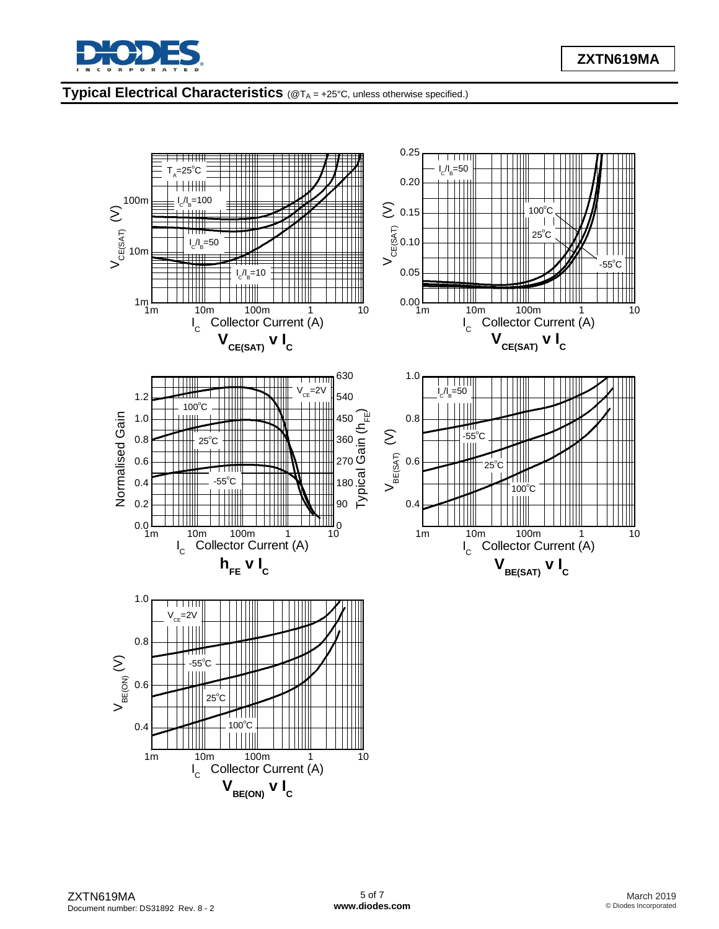

# **Typical Electrical Characteristics** (@T<sub>A</sub> = +25°C, unless otherwise specified.)

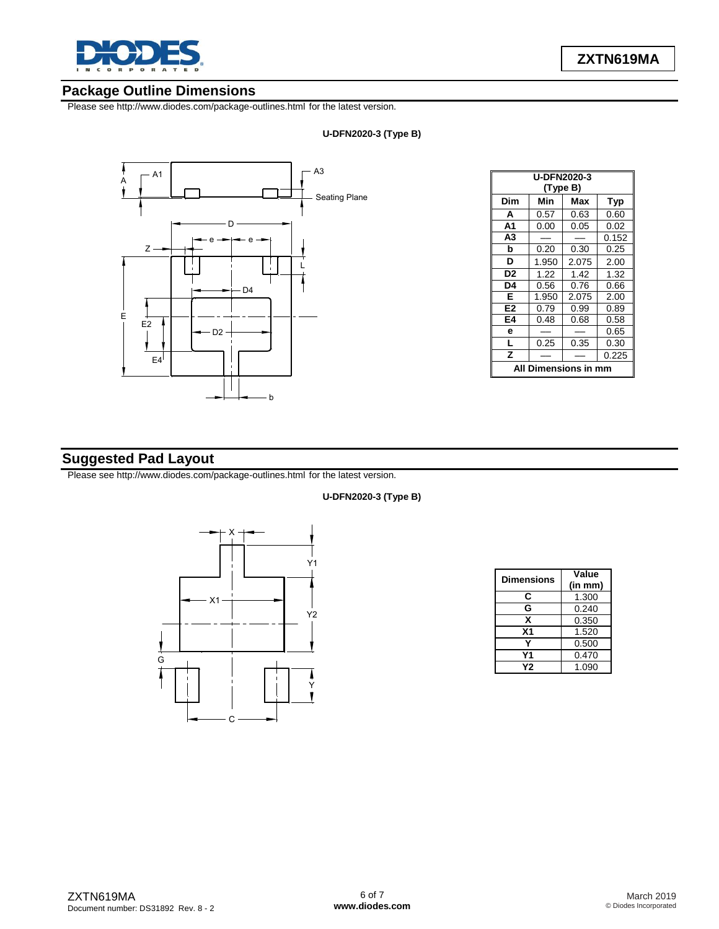

## **Package Outline Dimensions**

Please see <http://www.diodes.com/package-outlines.html> for the latest version.



| <b>U-DFN2020-3</b> |                      |       |       |  |  |  |
|--------------------|----------------------|-------|-------|--|--|--|
| (Type B)           |                      |       |       |  |  |  |
| Dim                | Min                  | Max   | Typ   |  |  |  |
| A                  | 0.57                 | 0.63  | 0.60  |  |  |  |
| A1                 | 0.00                 | 0.05  | 0.02  |  |  |  |
| A3                 |                      |       | 0.152 |  |  |  |
| b                  | 0.20                 | 0.30  | 0.25  |  |  |  |
| D                  | 1.950                | 2.075 | 2.00  |  |  |  |
| D <sub>2</sub>     | 1.22                 | 1.42  | 1.32  |  |  |  |
| D4                 | 0.56                 | 0.76  | 0.66  |  |  |  |
| Е                  | 1.950                | 2.075 | 2.00  |  |  |  |
| E <sub>2</sub>     | 0.79                 | 0.99  | 0.89  |  |  |  |
| E4                 | 0.48                 | 0.68  | 0.58  |  |  |  |
| е                  |                      |       | 0.65  |  |  |  |
| L                  | 0.25                 | 0.35  | 0.30  |  |  |  |
| z                  |                      |       | 0.225 |  |  |  |
|                    | All Dimensions in mm |       |       |  |  |  |

# **U-DFN2020-3 (Type B)**

# **Suggested Pad Layout**

Please see <http://www.diodes.com/package-outlines.html> for the latest version.



| <b>Dimensions</b> | Value<br>(in mm) |  |  |
|-------------------|------------------|--|--|
| C                 | 1.300            |  |  |
| G                 | 0.240            |  |  |
| x                 | 0.350            |  |  |
| X <sub>1</sub>    | 1.520            |  |  |
|                   | 0.500            |  |  |
| Υ1                | 0.470            |  |  |
| Υ2                | 1.090            |  |  |

#### **U-DFN2020-3 (Type B)**